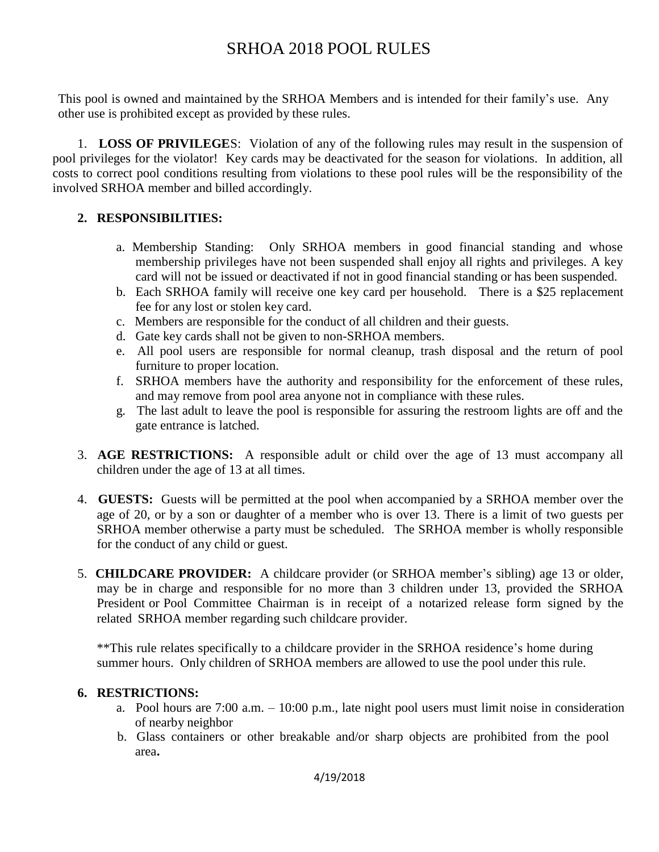## SRHOA 2018 POOL RULES

This pool is owned and maintained by the SRHOA Members and is intended for their family's use. Any other use is prohibited except as provided by these rules.

 1. **LOSS OF PRIVILEGE**S: Violation of any of the following rules may result in the suspension of pool privileges for the violator! Key cards may be deactivated for the season for violations.In addition, all costs to correct pool conditions resulting from violations to these pool rules will be the responsibility of the involved SRHOA member and billed accordingly.

## **2. RESPONSIBILITIES:**

- a. Membership Standing: Only SRHOA members in good financial standing and whose membership privileges have not been suspended shall enjoy all rights and privileges. A key card will not be issued or deactivated if not in good financial standing or has been suspended.
- b. Each SRHOA family will receive one key card per household. There is a \$25 replacement fee for any lost or stolen key card.
- c. Members are responsible for the conduct of all children and their guests.
- d. Gate key cards shall not be given to non-SRHOA members.
- e. All pool users are responsible for normal cleanup, trash disposal and the return of pool furniture to proper location.
- f. SRHOA members have the authority and responsibility for the enforcement of these rules, and may remove from pool area anyone not in compliance with these rules.
- g. The last adult to leave the pool is responsible for assuring the restroom lights are off and the gate entrance is latched.
- 3. **AGE RESTRICTIONS:** A responsible adult or child over the age of 13 must accompany all children under the age of 13 at all times.
- 4. **GUESTS:** Guests will be permitted at the pool when accompanied by a SRHOA member over the age of 20, or by a son or daughter of a member who is over 13. There is a limit of two guests per SRHOA member otherwise a party must be scheduled. The SRHOA member is wholly responsible for the conduct of any child or guest.
- 5. **CHILDCARE PROVIDER:** A childcare provider (or SRHOA member's sibling) age 13 or older, may be in charge and responsible for no more than 3 children under 13, provided the SRHOA President or Pool Committee Chairman is in receipt of a notarized release form signed by the related SRHOA member regarding such childcare provider.

\*\*This rule relates specifically to a childcare provider in the SRHOA residence's home during summer hours. Only children of SRHOA members are allowed to use the pool under this rule.

## **6. RESTRICTIONS:**

- a. Pool hours are 7:00 a.m. 10:00 p.m., late night pool users must limit noise in consideration of nearby neighbor
- b. Glass containers or other breakable and/or sharp objects are prohibited from the pool area**.**